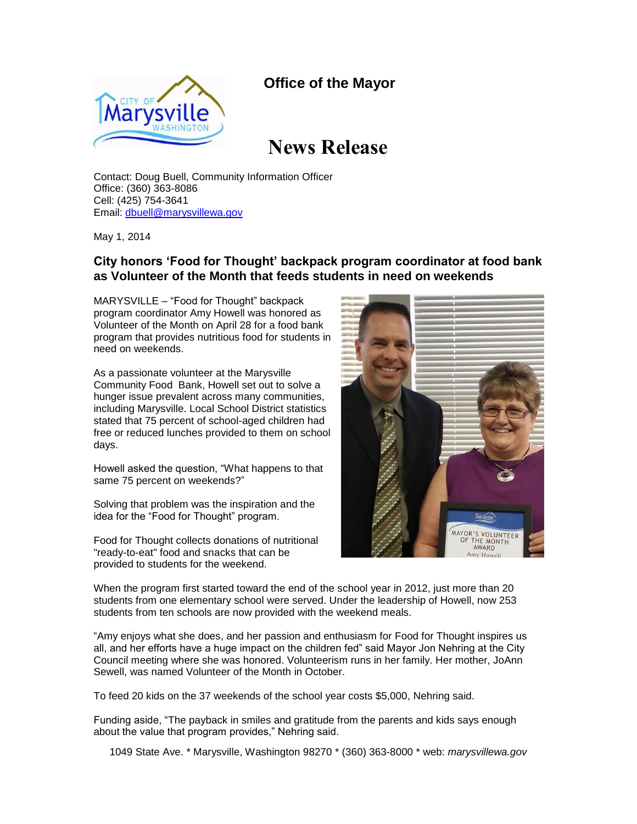## **Office of the Mayor**



## **News Release**

Contact: Doug Buell, Community Information Officer Office: (360) 363-8086 Cell: (425) 754-3641 Email: [dbuell@marysvillewa.gov](mailto:dbuell@marysvillewa.gov)

May 1, 2014

## **City honors 'Food for Thought' backpack program coordinator at food bank as Volunteer of the Month that feeds students in need on weekends**

MARYSVILLE – "Food for Thought" backpack program coordinator Amy Howell was honored as Volunteer of the Month on April 28 for a food bank program that provides nutritious food for students in need on weekends.

As a passionate volunteer at the Marysville Community Food Bank, Howell set out to solve a hunger issue prevalent across many communities, including Marysville. Local School District statistics stated that 75 percent of school-aged children had free or reduced lunches provided to them on school days.

Howell asked the question, "What happens to that same 75 percent on weekends?"

Solving that problem was the inspiration and the idea for the "Food for Thought" program.

Food for Thought collects donations of nutritional "ready-to-eat" food and snacks that can be provided to students for the weekend.



When the program first started toward the end of the school year in 2012, just more than 20 students from one elementary school were served. Under the leadership of Howell, now 253 students from ten schools are now provided with the weekend meals.

"Amy enjoys what she does, and her passion and enthusiasm for Food for Thought inspires us all, and her efforts have a huge impact on the children fed" said Mayor Jon Nehring at the City Council meeting where she was honored. Volunteerism runs in her family. Her mother, JoAnn Sewell, was named Volunteer of the Month in October.

To feed 20 kids on the 37 weekends of the school year costs \$5,000, Nehring said.

Funding aside, "The payback in smiles and gratitude from the parents and kids says enough about the value that program provides," Nehring said.

1049 State Ave. \* Marysville, Washington 98270 \* (360) 363-8000 \* web: *marysvillewa.gov*